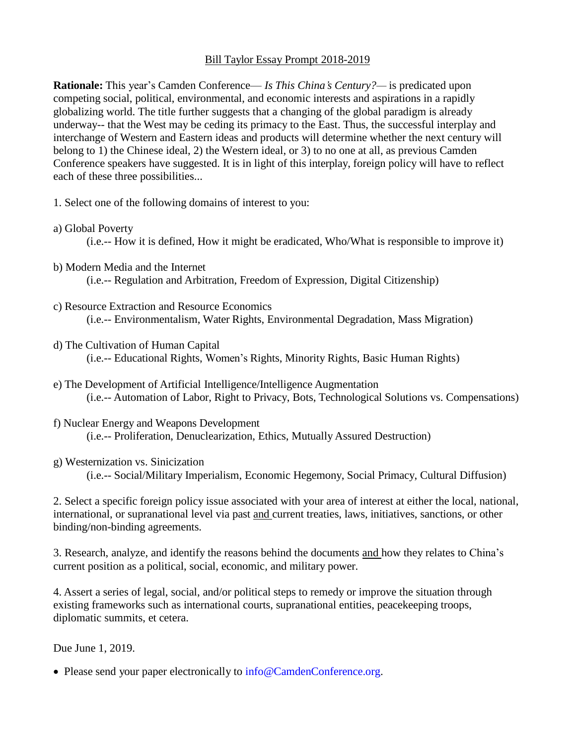## Bill Taylor Essay Prompt 2018-2019

**Rationale:** This year's Camden Conference— *Is This China's Century?—* is predicated upon competing social, political, environmental, and economic interests and aspirations in a rapidly globalizing world. The title further suggests that a changing of the global paradigm is already underway-- that the West may be ceding its primacy to the East. Thus, the successful interplay and interchange of Western and Eastern ideas and products will determine whether the next century will belong to 1) the Chinese ideal, 2) the Western ideal, or 3) to no one at all, as previous Camden Conference speakers have suggested. It is in light of this interplay, foreign policy will have to reflect each of these three possibilities...

- 1. Select one of the following domains of interest to you:
- a) Global Poverty

(i.e.-- How it is defined, How it might be eradicated, Who/What is responsible to improve it)

- b) Modern Media and the Internet (i.e.-- Regulation and Arbitration, Freedom of Expression, Digital Citizenship)
- c) Resource Extraction and Resource Economics (i.e.-- Environmentalism, Water Rights, Environmental Degradation, Mass Migration)
- d) The Cultivation of Human Capital (i.e.-- Educational Rights, Women's Rights, Minority Rights, Basic Human Rights)
- e) The Development of Artificial Intelligence/Intelligence Augmentation (i.e.-- Automation of Labor, Right to Privacy, Bots, Technological Solutions vs. Compensations)
- f) Nuclear Energy and Weapons Development (i.e.-- Proliferation, Denuclearization, Ethics, Mutually Assured Destruction)
- g) Westernization vs. Sinicization (i.e.-- Social/Military Imperialism, Economic Hegemony, Social Primacy, Cultural Diffusion)

2. Select a specific foreign policy issue associated with your area of interest at either the local, national, international, or supranational level via past and current treaties, laws, initiatives, sanctions, or other binding/non-binding agreements.

3. Research, analyze, and identify the reasons behind the documents and how they relates to China's current position as a political, social, economic, and military power.

4. Assert a series of legal, social, and/or political steps to remedy or improve the situation through existing frameworks such as international courts, supranational entities, peacekeeping troops, diplomatic summits, et cetera.

Due June 1, 2019.

• Please send your paper electronically to [info@CamdenConference.org.](mailto:info@CamdenConference.org)